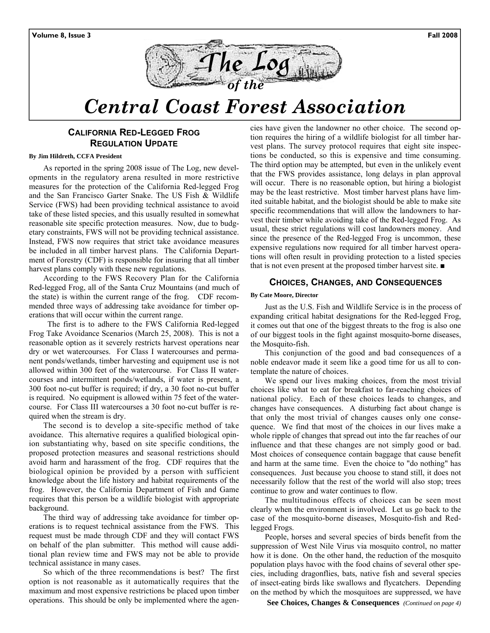



# *Central Coast Forest Association*

### **CALIFORNIA RED-LEGGED FROG REGULATION UPDATE**

#### **By Jim Hildreth, CCFA President**

As reported in the spring 2008 issue of The Log, new developments in the regulatory arena resulted in more restrictive measures for the protection of the California Red-legged Frog and the San Francisco Garter Snake. The US Fish & Wildlife Service (FWS) had been providing technical assistance to avoid take of these listed species, and this usually resulted in somewhat reasonable site specific protection measures. Now, due to budgetary constraints, FWS will not be providing technical assistance. Instead, FWS now requires that strict take avoidance measures be included in all timber harvest plans. The California Department of Forestry (CDF) is responsible for insuring that all timber harvest plans comply with these new regulations.

According to the FWS Recovery Plan for the California Red-legged Frog, all of the Santa Cruz Mountains (and much of the state) is within the current range of the frog. CDF recommended three ways of addressing take avoidance for timber operations that will occur within the current range.

 The first is to adhere to the FWS California Red-legged Frog Take Avoidance Scenarios (March 25, 2008). This is not a reasonable option as it severely restricts harvest operations near dry or wet watercourses. For Class I watercourses and permanent ponds/wetlands, timber harvesting and equipment use is not allowed within 300 feet of the watercourse. For Class II watercourses and intermittent ponds/wetlands, if water is present, a 300 foot no-cut buffer is required; if dry, a 30 foot no-cut buffer is required. No equipment is allowed within 75 feet of the watercourse. For Class III watercourses a 30 foot no-cut buffer is required when the stream is dry.

The second is to develop a site-specific method of take avoidance. This alternative requires a qualified biological opinion substantiating why, based on site specific conditions, the proposed protection measures and seasonal restrictions should avoid harm and harassment of the frog. CDF requires that the biological opinion be provided by a person with sufficient knowledge about the life history and habitat requirements of the frog. However, the California Department of Fish and Game requires that this person be a wildlife biologist with appropriate background.

The third way of addressing take avoidance for timber operations is to request technical assistance from the FWS. This request must be made through CDF and they will contact FWS on behalf of the plan submitter. This method will cause additional plan review time and FWS may not be able to provide technical assistance in many cases.

So which of the three recommendations is best? The first option is not reasonable as it automatically requires that the maximum and most expensive restrictions be placed upon timber operations. This should be only be implemented where the agencies have given the landowner no other choice. The second option requires the hiring of a wildlife biologist for all timber harvest plans. The survey protocol requires that eight site inspections be conducted, so this is expensive and time consuming. The third option may be attempted, but even in the unlikely event that the FWS provides assistance, long delays in plan approval will occur. There is no reasonable option, but hiring a biologist may be the least restrictive. Most timber harvest plans have limited suitable habitat, and the biologist should be able to make site specific recommendations that will allow the landowners to harvest their timber while avoiding take of the Red-legged Frog. As usual, these strict regulations will cost landowners money. And since the presence of the Red-legged Frog is uncommon, these expensive regulations now required for all timber harvest operations will often result in providing protection to a listed species that is not even present at the proposed timber harvest site. ■

#### **CHOICES, CHANGES, AND CONSEQUENCES**

#### **By Cate Moore, Director**

Just as the U.S. Fish and Wildlife Service is in the process of expanding critical habitat designations for the Red-legged Frog, it comes out that one of the biggest threats to the frog is also one of our biggest tools in the fight against mosquito-borne diseases, the Mosquito-fish.

This conjunction of the good and bad consequences of a noble endeavor made it seem like a good time for us all to contemplate the nature of choices.

We spend our lives making choices, from the most trivial choices like what to eat for breakfast to far-reaching choices of national policy. Each of these choices leads to changes, and changes have consequences. A disturbing fact about change is that only the most trivial of changes causes only one consequence. We find that most of the choices in our lives make a whole ripple of changes that spread out into the far reaches of our influence and that these changes are not simply good or bad. Most choices of consequence contain baggage that cause benefit and harm at the same time. Even the choice to "do nothing" has consequences. Just because you choose to stand still, it does not necessarily follow that the rest of the world will also stop; trees continue to grow and water continues to flow.

The multitudinous effects of choices can be seen most clearly when the environment is involved. Let us go back to the case of the mosquito-borne diseases, Mosquito-fish and Redlegged Frogs.

People, horses and several species of birds benefit from the suppression of West Nile Virus via mosquito control, no matter how it is done. On the other hand, the reduction of the mosquito population plays havoc with the food chains of several other species, including dragonflies, bats, native fish and several species of insect-eating birds like swallows and flycatchers. Depending on the method by which the mosquitoes are suppressed, we have

**See Choices, Changes & Consequences** *(Continued on page 4)*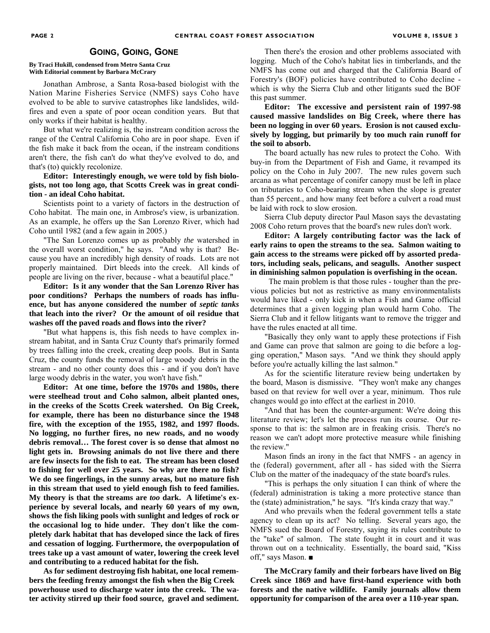#### **GOING, GOING, GONE**

#### **By Traci Hukill, condensed from Metro Santa Cruz With Editorial comment by Barbara McCrary**

Jonathan Ambrose, a Santa Rosa-based biologist with the Nation Marine Fisheries Service (NMFS) says Coho have evolved to be able to survive catastrophes like landslides, wildfires and even a spate of poor ocean condition years. But that only works if their habitat is healthy.

But what we're realizing is, the instream condition across the range of the Central California Coho are in poor shape. Even if the fish make it back from the ocean, if the instream conditions aren't there, the fish can't do what they've evolved to do, and that's (to) quickly recolonize.

#### **Editor: Interestingly enough, we were told by fish biologists, not too long ago, that Scotts Creek was in great condition - an ideal Coho habitat.**

Scientists point to a variety of factors in the destruction of Coho habitat. The main one, in Ambrose's view, is urbanization. As an example, he offers up the San Lorenzo River, which had Coho until 1982 (and a few again in 2005.)

"The San Lorenzo comes up as probably *the* watershed in the overall worst condition," he says. "And why is that? Because you have an incredibly high density of roads. Lots are not properly maintained. Dirt bleeds into the creek. All kinds of people are living on the river, because - what a beautiful place."

**Editor: Is it any wonder that the San Lorenzo River has poor conditions? Perhaps the numbers of roads has influence, but has anyone considered the number of** *septic tanks*  **that leach into the river? Or the amount of oil residue that washes off the paved roads and flows into the river?** 

"But what happens is, this fish needs to have complex instream habitat, and in Santa Cruz County that's primarily formed by trees falling into the creek, creating deep pools. But in Santa Cruz, the county funds the removal of large woody debris in the stream - and no other county does this - and if you don't have large woody debris in the water, you won't have fish."

**Editor: At one time, before the 1970s and 1980s, there were steelhead trout and Coho salmon, albeit planted ones, in the creeks of the Scotts Creek watershed. On Big Creek, for example, there has been no disturbance since the 1948 fire, with the exception of the 1955, 1982, and 1997 floods. No logging, no further fires, no new roads, and no woody debris removal… The forest cover is so dense that almost no light gets in. Browsing animals do not live there and there are few insects for the fish to eat. The stream has been closed to fishing for well over 25 years. So why are there no fish? We do see fingerlings, in the sunny areas, but no mature fish in this stream that used to yield enough fish to feed families. My theory is that the streams are** *too* **dark. A lifetime's experience by several locals, and nearly 60 years of my own, shows the fish liking pools with sunlight and ledges of rock or the occasional log to hide under. They don't like the completely dark habitat that has developed since the lack of fires and cessation of logging. Furthermore, the overpopulation of trees take up a vast amount of water, lowering the creek level and contributing to a reduced habitat for the fish.** 

**As for sediment destroying fish habitat, one local remembers the feeding frenzy amongst the fish when the Big Creek powerhouse used to discharge water into the creek. The water activity stirred up their food source, gravel and sediment.** 

Then there's the erosion and other problems associated with logging. Much of the Coho's habitat lies in timberlands, and the NMFS has come out and charged that the California Board of Forestry's (BOF) policies have contributed to Coho decline which is why the Sierra Club and other litigants sued the BOF this past summer.

**Editor: The excessive and persistent rain of 1997-98 caused massive landslides on Big Creek, where there has been no logging in over 60 years. Erosion is not caused exclusively by logging, but primarily by too much rain runoff for the soil to absorb.**

The board actually has new rules to protect the Coho. With buy-in from the Department of Fish and Game, it revamped its policy on the Coho in July 2007. The new rules govern such arcana as what percentage of conifer canopy must be left in place on tributaries to Coho-bearing stream when the slope is greater than 55 percent., and how many feet before a culvert a road must be laid with rock to slow erosion.

Sierra Club deputy director Paul Mason says the devastating 2008 Coho return proves that the board's new rules don't work.

**Editor: A largely contributing factor was the lack of early rains to open the streams to the sea. Salmon waiting to gain access to the streams were picked off by assorted predators, including seals, pelicans, and seagulls. Another suspect in diminishing salmon population is overfishing in the ocean.** 

 The main problem is that those rules - tougher than the previous policies but not as restrictive as many environmentalists would have liked - only kick in when a Fish and Game official determines that a given logging plan would harm Coho. The Sierra Club and it fellow litigants want to remove the trigger and have the rules enacted at all time.

"Basically they only want to apply these protections if Fish and Game can prove that salmon are going to die before a logging operation," Mason says. "And we think they should apply before you're actually killing the last salmon."

As for the scientific literature review being undertaken by the board, Mason is dismissive. "They won't make any changes based on that review for well over a year, minimum. Thos rule changes would go into effect at the earliest in 2010.

"And that has been the counter-argument: We're doing this literature review; let's let the process run its course. Our response to that is: the salmon are in freaking crisis. There's no reason we can't adopt more protective measure while finishing the review."

Mason finds an irony in the fact that NMFS - an agency in the (federal) government, after all - has sided with the Sierra Club on the matter of the inadequacy of the state board's rules.

"This is perhaps the only situation I can think of where the (federal) administration is taking a more protective stance than the (state) administration," he says. "It's kinda crazy that way."

And who prevails when the federal government tells a state agency to clean up its act? No telling. Several years ago, the NMFS sued the Board of Forestry, saying its rules contribute to the "take" of salmon. The state fought it in court and it was thrown out on a technicality. Essentially, the board said, "Kiss off," says Mason. ■

**The McCrary family and their forbears have lived on Big Creek since 1869 and have first-hand experience with both forests and the native wildlife. Family journals allow them opportunity for comparison of the area over a 110-year span.**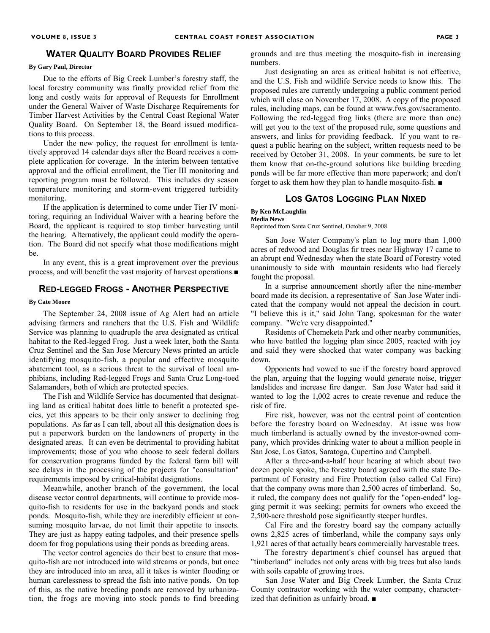#### **WATER QUALITY BOARD PROVIDES RELIEF**

#### **By Gary Paul, Director**

Due to the efforts of Big Creek Lumber's forestry staff, the local forestry community was finally provided relief from the long and costly waits for approval of Requests for Enrollment under the General Waiver of Waste Discharge Requirements for Timber Harvest Activities by the Central Coast Regional Water Quality Board. On September 18, the Board issued modifications to this process.

Under the new policy, the request for enrollment is tentatively approved 14 calendar days after the Board receives a complete application for coverage. In the interim between tentative approval and the official enrollment, the Tier III monitoring and reporting program must be followed. This includes dry season temperature monitoring and storm-event triggered turbidity monitoring.

If the application is determined to come under Tier IV monitoring, requiring an Individual Waiver with a hearing before the Board, the applicant is required to stop timber harvesting until the hearing. Alternatively, the applicant could modify the operation. The Board did not specify what those modifications might be.

In any event, this is a great improvement over the previous process, and will benefit the vast majority of harvest operations.■

#### **RED-LEGGED FROGS - ANOTHER PERSPECTIVE**

#### **By Cate Moore**

The September 24, 2008 issue of Ag Alert had an article advising farmers and ranchers that the U.S. Fish and Wildlife Service was planning to quadruple the area designated as critical habitat to the Red-legged Frog. Just a week later, both the Santa Cruz Sentinel and the San Jose Mercury News printed an article identifying mosquito-fish, a popular and effective mosquito abatement tool, as a serious threat to the survival of local amphibians, including Red-legged Frogs and Santa Cruz Long-toed Salamanders, both of which are protected species.

The Fish and Wildlife Service has documented that designating land as critical habitat does little to benefit a protected species, yet this appears to be their only answer to declining frog populations. As far as I can tell, about all this designation does is put a paperwork burden on the landowners of property in the designated areas. It can even be detrimental to providing habitat improvements; those of you who choose to seek federal dollars for conservation programs funded by the federal farm bill will see delays in the processing of the projects for "consultation" requirements imposed by critical-habitat designations.

Meanwhile, another branch of the government, the local disease vector control departments, will continue to provide mosquito-fish to residents for use in the backyard ponds and stock ponds. Mosquito-fish, while they are incredibly efficient at consuming mosquito larvae, do not limit their appetite to insects. They are just as happy eating tadpoles, and their presence spells doom for frog populations using their ponds as breeding areas.

The vector control agencies do their best to ensure that mosquito-fish are not introduced into wild streams or ponds, but once they are introduced into an area, all it takes is winter flooding or human carelessness to spread the fish into native ponds. On top of this, as the native breeding ponds are removed by urbanization, the frogs are moving into stock ponds to find breeding

grounds and are thus meeting the mosquito-fish in increasing numbers.

Just designating an area as critical habitat is not effective, and the U.S. Fish and wildlife Service needs to know this. The proposed rules are currently undergoing a public comment period which will close on November 17, 2008. A copy of the proposed rules, including maps, can be found at www.fws.gov/sacramento. Following the red-legged frog links (there are more than one) will get you to the text of the proposed rule, some questions and answers, and links for providing feedback. If you want to request a public hearing on the subject, written requests need to be received by October 31, 2008. In your comments, be sure to let them know that on-the-ground solutions like building breeding ponds will be far more effective than more paperwork; and don't forget to ask them how they plan to handle mosquito-fish. ■

#### **LOS GATOS LOGGING PLAN NIXED**

#### **By Ken McLaughlin**

**Media News**  Reprinted from Santa Cruz Sentinel, October 9, 2008

San Jose Water Company's plan to log more than 1,000 acres of redwood and Douglas fir trees near Highway 17 came to an abrupt end Wednesday when the state Board of Forestry voted unanimously to side with mountain residents who had fiercely fought the proposal.

In a surprise announcement shortly after the nine-member board made its decision, a representative of San Jose Water indicated that the company would not appeal the decision in court. "I believe this is it," said John Tang, spokesman for the water company. "We're very disappointed."

Residents of Chemeketa Park and other nearby communities, who have battled the logging plan since 2005, reacted with joy and said they were shocked that water company was backing down.

Opponents had vowed to sue if the forestry board approved the plan, arguing that the logging would generate noise, trigger landslides and increase fire danger. San Jose Water had said it wanted to log the 1,002 acres to create revenue and reduce the risk of fire.

Fire risk, however, was not the central point of contention before the forestry board on Wednesday. At issue was how much timberland is actually owned by the investor-owned company, which provides drinking water to about a million people in San Jose, Los Gatos, Saratoga, Cupertino and Campbell.

After a three-and-a-half hour hearing at which about two dozen people spoke, the forestry board agreed with the state Department of Forestry and Fire Protection (also called Cal Fire) that the company owns more than 2,500 acres of timberland. So, it ruled, the company does not qualify for the "open-ended" logging permit it was seeking; permits for owners who exceed the 2,500-acre threshold pose significantly steeper hurdles.

Cal Fire and the forestry board say the company actually owns 2,825 acres of timberland, while the company says only 1,921 acres of that actually bears commercially harvestable trees.

The forestry department's chief counsel has argued that "timberland" includes not only areas with big trees but also lands with soils capable of growing trees.

San Jose Water and Big Creek Lumber, the Santa Cruz County contractor working with the water company, characterized that definition as unfairly broad. ■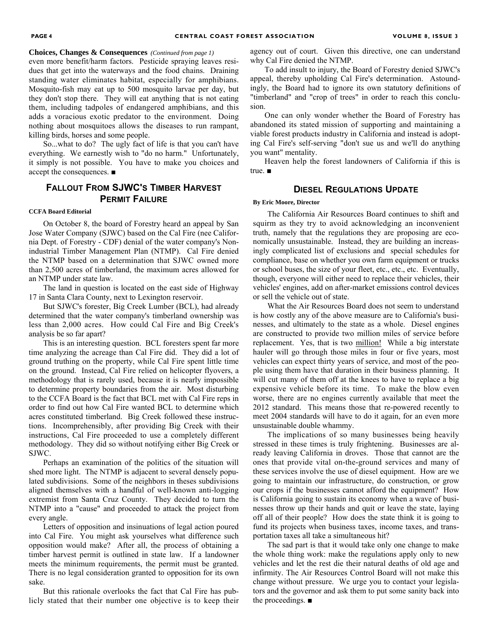#### **Choices, Changes & Consequences** *(Continued from page 1)*

even more benefit/harm factors. Pesticide spraying leaves residues that get into the waterways and the food chains. Draining standing water eliminates habitat, especially for amphibians. Mosquito-fish may eat up to 500 mosquito larvae per day, but they don't stop there. They will eat anything that is not eating them, including tadpoles of endangered amphibians, and this adds a voracious exotic predator to the environment. Doing nothing about mosquitoes allows the diseases to run rampant, killing birds, horses and some people.

So...what to do? The ugly fact of life is that you can't have everything. We earnestly wish to "do no harm." Unfortunately, it simply is not possible. You have to make you choices and accept the consequences. ■

#### **FALLOUT FROM SJWC'S TIMBER HARVEST PERMIT FAILURE**

#### **CCFA Board Editorial**

On October 8, the board of Forestry heard an appeal by San Jose Water Company (SJWC) based on the Cal Fire (nee California Dept. of Forestry - CDF) denial of the water company's Nonindustrial Timber Management Plan (NTMP). Cal Fire denied the NTMP based on a determination that SJWC owned more than 2,500 acres of timberland, the maximum acres allowed for an NTMP under state law.

The land in question is located on the east side of Highway 17 in Santa Clara County, next to Lexington reservoir.

But SJWC's forester, Big Creek Lumber (BCL), had already determined that the water company's timberland ownership was less than 2,000 acres. How could Cal Fire and Big Creek's analysis be so far apart?

This is an interesting question. BCL foresters spent far more time analyzing the acreage than Cal Fire did. They did a lot of ground truthing on the property, while Cal Fire spent little time on the ground. Instead, Cal Fire relied on helicopter flyovers, a methodology that is rarely used, because it is nearly impossible to determine property boundaries from the air. Most disturbing to the CCFA Board is the fact that BCL met with Cal Fire reps in order to find out how Cal Fire wanted BCL to determine which acres constituted timberland. Big Creek followed these instructions. Incomprehensibly, after providing Big Creek with their instructions, Cal Fire proceeded to use a completely different methodology. They did so without notifying either Big Creek or SJWC.

Perhaps an examination of the politics of the situation will shed more light. The NTMP is adjacent to several densely populated subdivisions. Some of the neighbors in theses subdivisions aligned themselves with a handful of well-known anti-logging extremist from Santa Cruz County. They decided to turn the NTMP into a "cause" and proceeded to attack the project from every angle.

Letters of opposition and insinuations of legal action poured into Cal Fire. You might ask yourselves what difference such opposition would make? After all, the process of obtaining a timber harvest permit is outlined in state law. If a landowner meets the minimum requirements, the permit must be granted. There is no legal consideration granted to opposition for its own sake.

But this rationale overlooks the fact that Cal Fire has publicly stated that their number one objective is to keep their agency out of court. Given this directive, one can understand why Cal Fire denied the NTMP.

To add insult to injury, the Board of Forestry denied SJWC's appeal, thereby upholding Cal Fire's determination. Astoundingly, the Board had to ignore its own statutory definitions of "timberland" and "crop of trees" in order to reach this conclusion.

One can only wonder whether the Board of Forestry has abandoned its stated mission of supporting and maintaining a viable forest products industry in California and instead is adopting Cal Fire's self-serving "don't sue us and we'll do anything you want" mentality.

Heaven help the forest landowners of California if this is true. ■

#### **DIESEL REGULATIONS UPDATE**

#### **By Eric Moore, Director**

The California Air Resources Board continues to shift and squirm as they try to avoid acknowledging an inconvenient truth, namely that the regulations they are proposing are economically unsustainable. Instead, they are building an increasingly complicated list of exclusions and special schedules for compliance, base on whether you own farm equipment or trucks or school buses, the size of your fleet, etc., etc., etc. Eventually, though, everyone will either need to replace their vehicles, their vehicles' engines, add on after-market emissions control devices or sell the vehicle out of state.

What the Air Resources Board does not seem to understand is how costly any of the above measure are to California's businesses, and ultimately to the state as a whole. Diesel engines are constructed to provide two million miles of service before replacement. Yes, that is two million! While a big interstate hauler will go through those miles in four or five years, most vehicles can expect thirty years of service, and most of the people using them have that duration in their business planning. It will cut many of them off at the knees to have to replace a big expensive vehicle before its time. To make the blow even worse, there are no engines currently available that meet the 2012 standard. This means those that re-powered recently to meet 2004 standards will have to do it again, for an even more unsustainable double whammy.

The implications of so many businesses being heavily stressed in these times is truly frightening. Businesses are already leaving California in droves. Those that cannot are the ones that provide vital on-the-ground services and many of these services involve the use of diesel equipment. How are we going to maintain our infrastructure, do construction, or grow our crops if the businesses cannot afford the equipment? How is California going to sustain its economy when a wave of businesses throw up their hands and quit or leave the state, laying off all of their people? How does the state think it is going to fund its projects when business taxes, income taxes, and transportation taxes all take a simultaneous hit?

The sad part is that it would take only one change to make the whole thing work: make the regulations apply only to new vehicles and let the rest die their natural deaths of old age and infirmity. The Air Resources Control Board will not make this change without pressure. We urge you to contact your legislators and the governor and ask them to put some sanity back into the proceedings. ■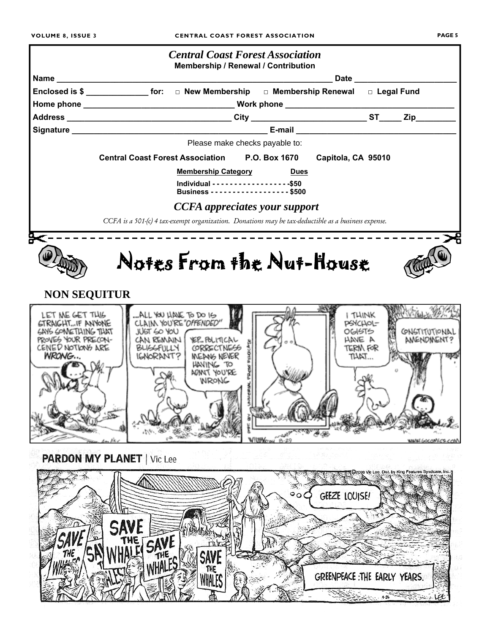